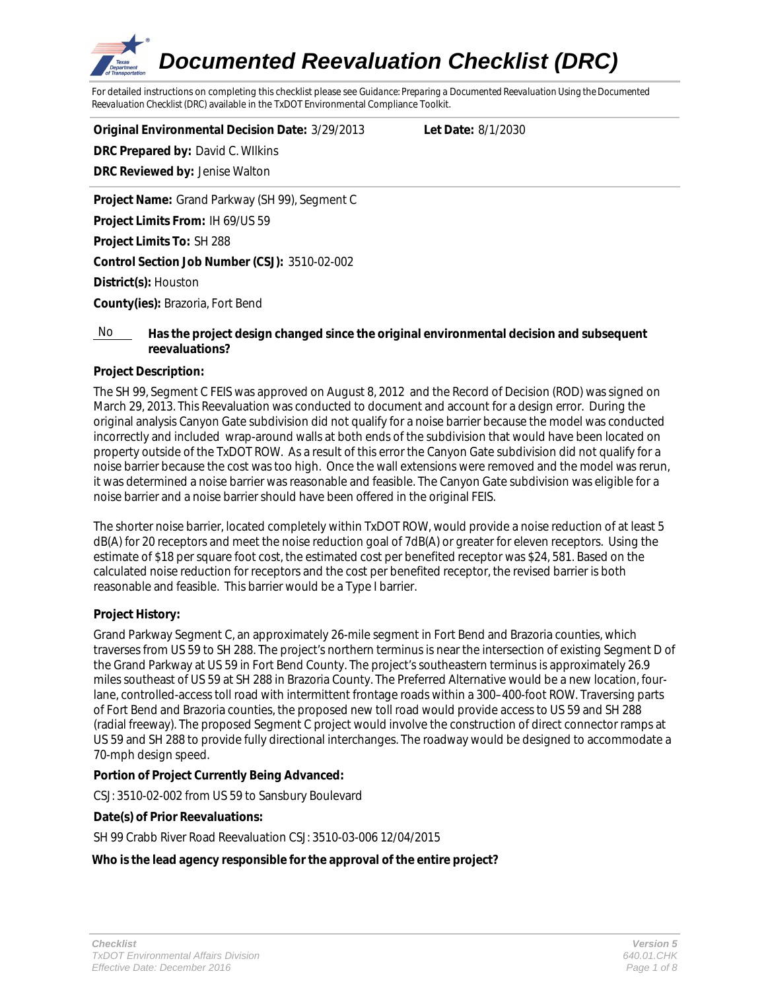

For detailed instructions on completing this checklist please see *Guidance: Preparing a Documented Reevaluation Using the Documented Reevaluation Checklist (DRC)* available in the TxDOT Environmental Compliance Toolkit.

**Original Environmental Decision Date:** 3/29/2013 **Let Date:** 8/1/2030 **DRC Prepared by:** David C. WIlkins **DRC Reviewed by:** Jenise Walton

**Project Name:** Grand Parkway (SH 99), Segment C **Project Limits From:** IH 69/US 59 **Project Limits To:** SH 288 **Control Section Job Number (CSJ):** 3510-02-002 **District(s):** Houston **County(ies):** Brazoria, Fort Bend

### No **Has the project design changed since the original environmental decision and subsequent reevaluations?**

## **Project Description:**

The SH 99, Segment C FEIS was approved on August 8, 2012 and the Record of Decision (ROD) was signed on March 29, 2013. This Reevaluation was conducted to document and account for a design error. During the original analysis Canyon Gate subdivision did not qualify for a noise barrier because the model was conducted incorrectly and included wrap-around walls at both ends of the subdivision that would have been located on property outside of the TxDOT ROW. As a result of this error the Canyon Gate subdivision did not qualify for a noise barrier because the cost was too high. Once the wall extensions were removed and the model was rerun, it was determined a noise barrier was reasonable and feasible. The Canyon Gate subdivision was eligible for a noise barrier and a noise barrier should have been offered in the original FEIS.

The shorter noise barrier, located completely within TxDOT ROW, would provide a noise reduction of at least 5 dB(A) for 20 receptors and meet the noise reduction goal of 7dB(A) or greater for eleven receptors. Using the estimate of \$18 per square foot cost, the estimated cost per benefited receptor was \$24, 581. Based on the calculated noise reduction for receptors and the cost per benefited receptor, the revised barrier is both reasonable and feasible. This barrier would be a Type I barrier.

#### **Project History:**

Grand Parkway Segment C, an approximately 26-mile segment in Fort Bend and Brazoria counties, which traverses from US 59 to SH 288. The project's northern terminus is near the intersection of existing Segment D of the Grand Parkway at US 59 in Fort Bend County. The project's southeastern terminus is approximately 26.9 miles southeast of US 59 at SH 288 in Brazoria County. The Preferred Alternative would be a new location, fourlane, controlled-access toll road with intermittent frontage roads within a 300–400-foot ROW. Traversing parts of Fort Bend and Brazoria counties, the proposed new toll road would provide access to US 59 and SH 288 (radial freeway). The proposed Segment C project would involve the construction of direct connector ramps at US 59 and SH 288 to provide fully directional interchanges. The roadway would be designed to accommodate a 70-mph design speed.

#### **Portion of Project Currently Being Advanced:**

CSJ: 3510-02-002 from US 59 to Sansbury Boulevard

#### **Date(s) of Prior Reevaluations:**

SH 99 Crabb River Road Reevaluation CSJ: 3510-03-006 12/04/2015

#### **Who is the lead agency responsible for the approval of the entire project?**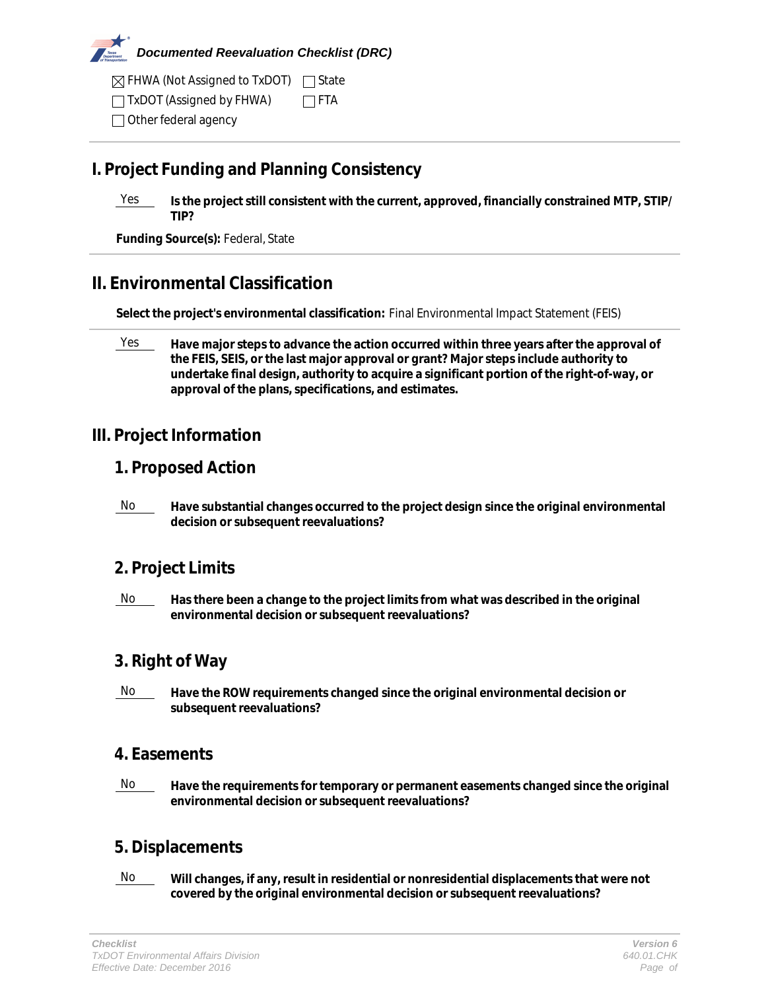

FHWA (Not Assigned to TxDOT) State

 $\Box$  TxDOT (Assigned by FHWA)  $\Box$  FTA

Other federal agency

# **I. Project Funding and Planning Consistency**

Yes **Is the project still consistent with the current, approved, financially constrained MTP, STIP/ TIP?**

**Funding Source(s):** Federal, State

# **II. Environmental Classification**

**Select the project's environmental classification:** Final Environmental Impact Statement (FEIS)

<u>Yes</u> Have major steps to advance the action occurred within three years after the approval of **the FEIS, SEIS, or the last major approval or grant? Major steps include authority to undertake final design, authority to acquire a significant portion of the right-of-way, or approval of the plans, specifications, and estimates.**

# **III. Project Information**

## **1. Proposed Action**

No **Have substantial changes occurred to the project design since the original environmental decision or subsequent reevaluations?**

# **2. Project Limits**

No **Has there been a change to the project limits from what was described in the original environmental decision or subsequent reevaluations?**

# **3. Right of Way**

**No Have the ROW requirements changed since the original environmental decision or subsequent reevaluations?**

# **4. Easements**

No **Have the requirements for temporary or permanent easements changed since the original environmental decision or subsequent reevaluations?**

# **5. Displacements**

No **Will changes, if any, result in residential or nonresidential displacements that were not covered by the original environmental decision or subsequent reevaluations?**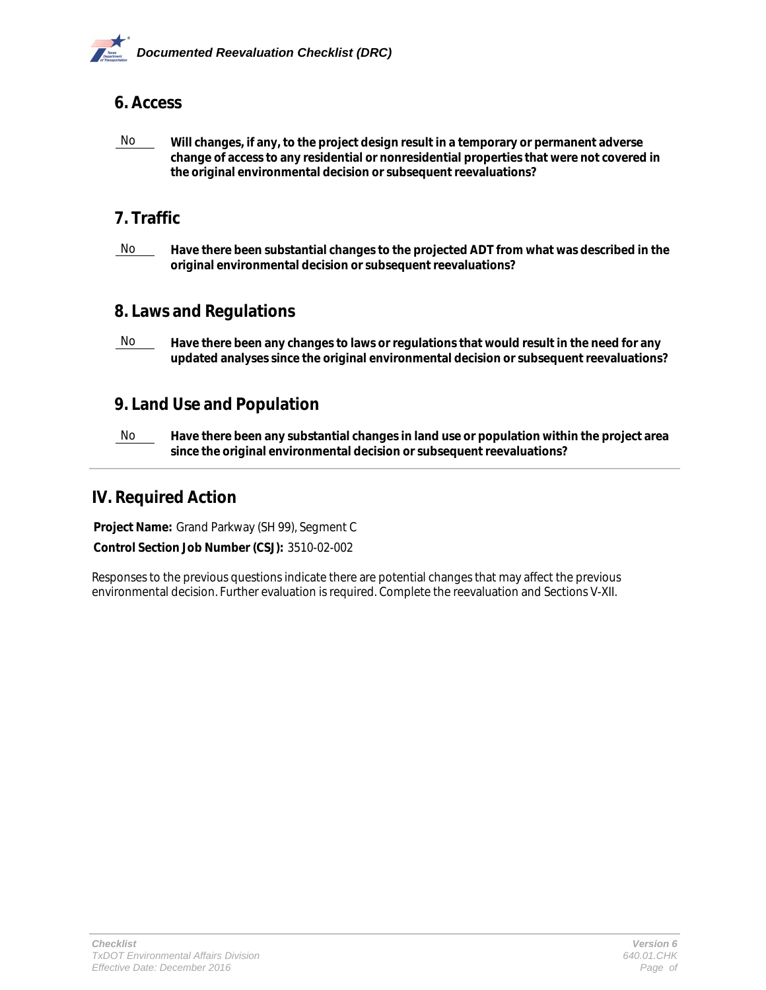

## **6. Access**

No **Will changes, if any, to the project design result in a temporary or permanent adverse change of access to any residential or nonresidential properties that were not covered in the original environmental decision or subsequent reevaluations?**

## **7. Traffic**

No **Have there been substantial changes to the projected ADT from what was described in the original environmental decision or subsequent reevaluations?**

## **8. Laws and Regulations**

**No** Have there been any changes to laws or regulations that would result in the need for any **updated analyses since the original environmental decision or subsequent reevaluations?**

## **9. Land Use and Population**

No **Have there been any substantial changes in land use or population within the project area since the original environmental decision or subsequent reevaluations?**

## **IV. Required Action**

**Project Name:** Grand Parkway (SH 99), Segment C

**Control Section Job Number (CSJ):** 3510-02-002

Responses to the previous questions indicate there are potential changes that may affect the previous environmental decision. Further evaluation is required. Complete the reevaluation and Sections V-XII.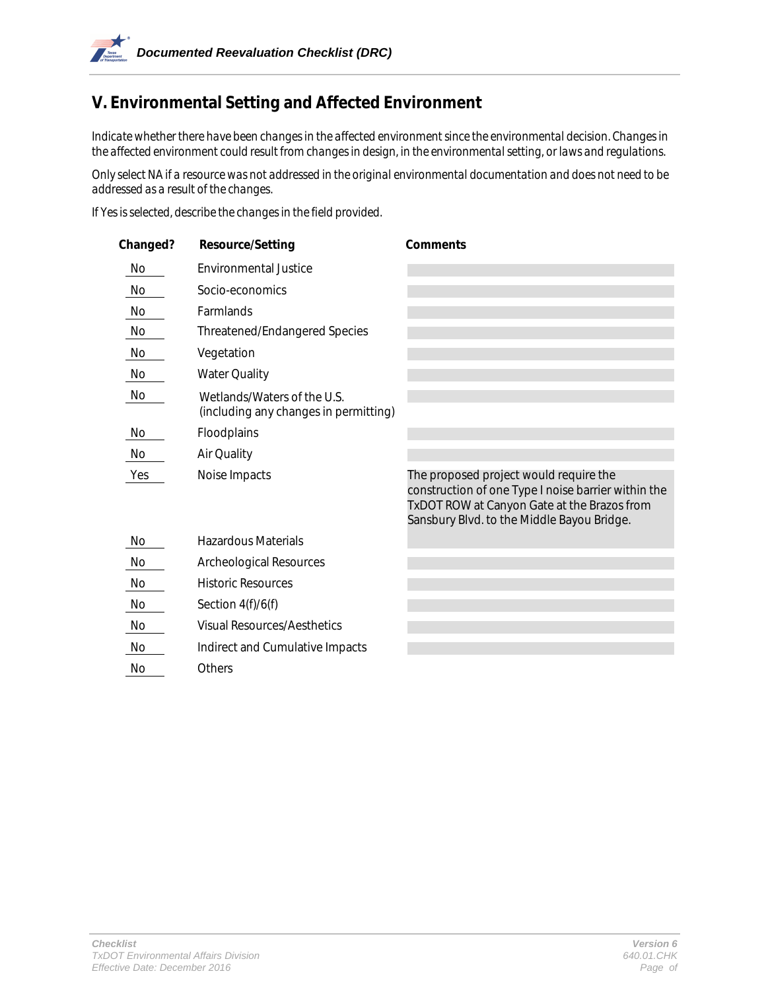# **V. Environmental Setting and Affected Environment**

*Indicate whether there have been changes in the affected environment since the environmental decision. Changes in the affected environment could result from changes in design, in the environmental setting, or laws and regulations.* 

*Only select NA if a resource was not addressed in the original environmental documentation and does not need to be addressed as a result of the changes.* 

*If Yes is selected, describe the changes in the field provided.*

| Changed? | <b>Resource/Setting</b>                                              | <b>Comments</b>                                                                                                                                                                            |
|----------|----------------------------------------------------------------------|--------------------------------------------------------------------------------------------------------------------------------------------------------------------------------------------|
| No       | <b>Environmental Justice</b>                                         |                                                                                                                                                                                            |
| No       | Socio-economics                                                      |                                                                                                                                                                                            |
| No       | Farmlands                                                            |                                                                                                                                                                                            |
| No       | <b>Threatened/Endangered Species</b>                                 |                                                                                                                                                                                            |
| No       | Vegetation                                                           |                                                                                                                                                                                            |
| No       | <b>Water Quality</b>                                                 |                                                                                                                                                                                            |
| No       | Wetlands/Waters of the U.S.<br>(including any changes in permitting) |                                                                                                                                                                                            |
| No       | Floodplains                                                          |                                                                                                                                                                                            |
| No       | Air Quality                                                          |                                                                                                                                                                                            |
| Yes      | Noise Impacts                                                        | The proposed project would require the<br>construction of one Type I noise barrier within the<br>TxDOT ROW at Canyon Gate at the Brazos from<br>Sansbury Blvd. to the Middle Bayou Bridge. |
| No       | <b>Hazardous Materials</b>                                           |                                                                                                                                                                                            |
| No       | <b>Archeological Resources</b>                                       |                                                                                                                                                                                            |
| No       | <b>Historic Resources</b>                                            |                                                                                                                                                                                            |
| No       | Section $4(f)/6(f)$                                                  |                                                                                                                                                                                            |
| No       | <b>Visual Resources/Aesthetics</b>                                   |                                                                                                                                                                                            |
| No       | Indirect and Cumulative Impacts                                      |                                                                                                                                                                                            |
| No       | Others                                                               |                                                                                                                                                                                            |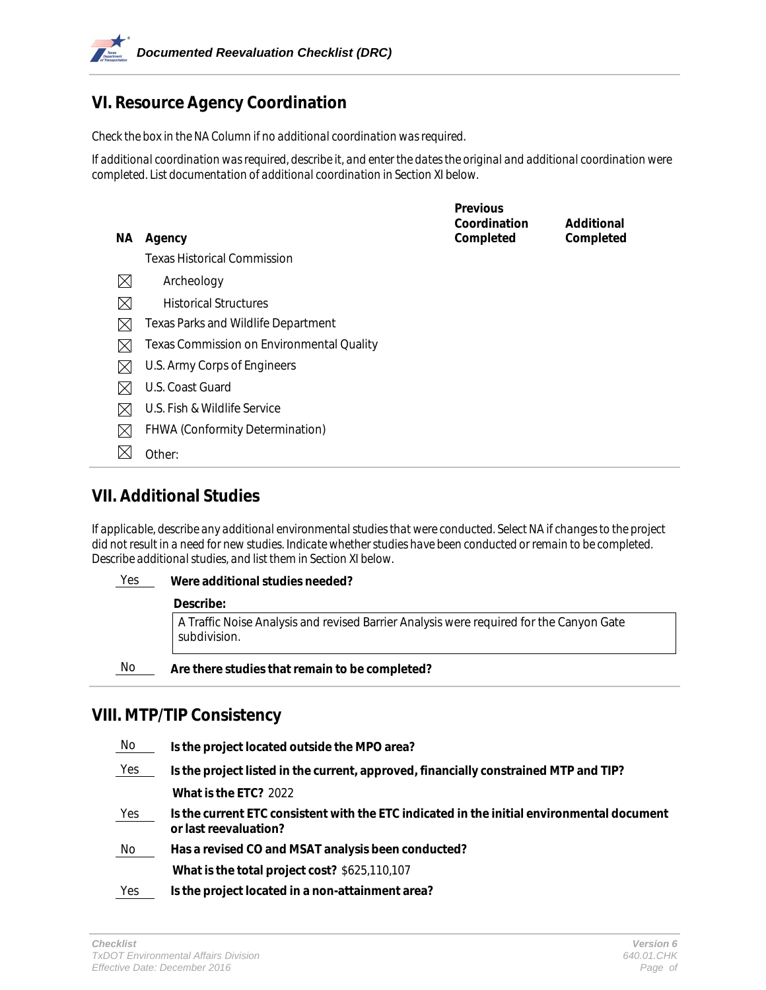# **VI. Resource Agency Coordination**

*Check the box in the NA Column if no additional coordination was required.* 

*If additional coordination was required, describe it, and enter the dates the original and additional coordination were completed. List documentation of additional coordination in Section XI below.* 

|             |                                                  | <b>Previous</b>           |                         |
|-------------|--------------------------------------------------|---------------------------|-------------------------|
| NA.         | Agency                                           | Coordination<br>Completed | Additional<br>Completed |
|             | Texas Historical Commission                      |                           |                         |
| $\boxtimes$ | Archeology                                       |                           |                         |
| $\times$    | <b>Historical Structures</b>                     |                           |                         |
| $\boxtimes$ | <b>Texas Parks and Wildlife Department</b>       |                           |                         |
| $\boxtimes$ | <b>Texas Commission on Environmental Quality</b> |                           |                         |
| IХ          | U.S. Army Corps of Engineers                     |                           |                         |
| $\bowtie$   | U.S. Coast Guard                                 |                           |                         |
| $\boxtimes$ | U.S. Fish & Wildlife Service                     |                           |                         |
| $\boxtimes$ | FHWA (Conformity Determination)                  |                           |                         |
|             | Other:                                           |                           |                         |
|             |                                                  |                           |                         |

## **VII. Additional Studies**

*If applicable, describe any additional environmental studies that were conducted. Select NA if changes to the project did not result in a need for new studies. Indicate whether studies have been conducted or remain to be completed. Describe additional studies, and list them in Section XI below.*

## Yes **Were additional studies needed?**

#### **Describe:**

A Traffic Noise Analysis and revised Barrier Analysis were required for the Canyon Gate subdivision.

No **Are there studies that remain to be completed?**

## **VIII. MTP/TIP Consistency**

| No  | Is the project located outside the MPO area?                                                                        |
|-----|---------------------------------------------------------------------------------------------------------------------|
| Yes | Is the project listed in the current, approved, financially constrained MTP and TIP?                                |
|     | What is the ETC? 2022                                                                                               |
| Yes | Is the current ETC consistent with the ETC indicated in the initial environmental document<br>or last reevaluation? |
| No  | Has a revised CO and MSAT analysis been conducted?                                                                  |
|     | What is the total project cost? \$625,110,107                                                                       |
| Yes | Is the project located in a non-attainment area?                                                                    |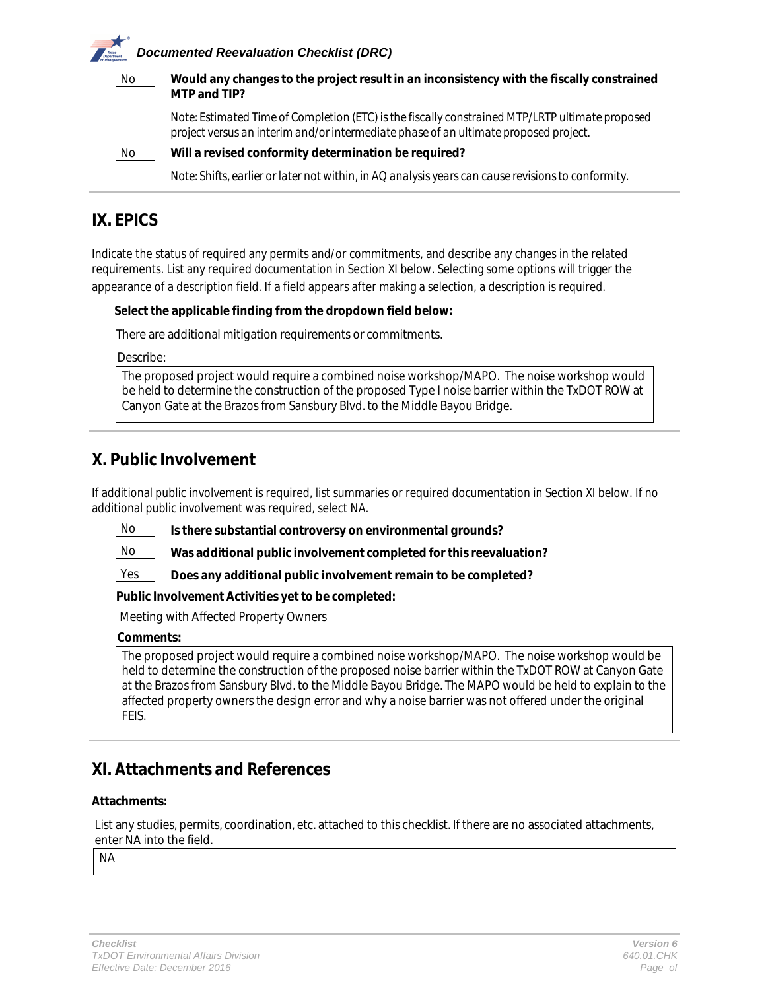# *Documented Reevaluation Checklist (DRC)* No **Would any changes to the project result in an inconsistency with the fiscally constrained MTP and TIP?**  *Note: Estimated Time of Completion (ETC) is the fiscally constrained MTP/LRTP ultimate proposed project versus an interim and/or intermediate phase of an ultimate proposed project.*

No **Will a revised conformity determination be required?** 

*Note: Shifts, earlier or later not within, in AQ analysis years can cause revisions to conformity.*

# **IX. EPICS**

Indicate the status of required any permits and/or commitments, and describe any changes in the related requirements. List any required documentation in Section XI below. Selecting some options will trigger the appearance of a description field. If a field appears after making a selection, a description is required.

## **Select the applicable finding from the dropdown field below:**

There are additional mitigation requirements or commitments.

Describe:

The proposed project would require a combined noise workshop/MAPO. The noise workshop would be held to determine the construction of the proposed Type I noise barrier within the TxDOT ROW at Canyon Gate at the Brazos from Sansbury Blvd. to the Middle Bayou Bridge.

# **X. Public Involvement**

If additional public involvement is required, list summaries or required documentation in Section XI below. If no additional public involvement was required, select NA.

No **Is there substantial controversy on environmental grounds?**

No **Was additional public involvement completed for this reevaluation?**

Yes **Does any additional public involvement remain to be completed?**

**Public Involvement Activities yet to be completed:**

Meeting with Affected Property Owners

#### **Comments:**

The proposed project would require a combined noise workshop/MAPO. The noise workshop would be held to determine the construction of the proposed noise barrier within the TxDOT ROW at Canyon Gate at the Brazos from Sansbury Blvd. to the Middle Bayou Bridge. The MAPO would be held to explain to the affected property owners the design error and why a noise barrier was not offered under the original FEIS.

## **XI. Attachments and References**

#### **Attachments:**

List any studies, permits, coordination, etc. attached to this checklist. If there are no associated attachments, enter NA into the field.

NA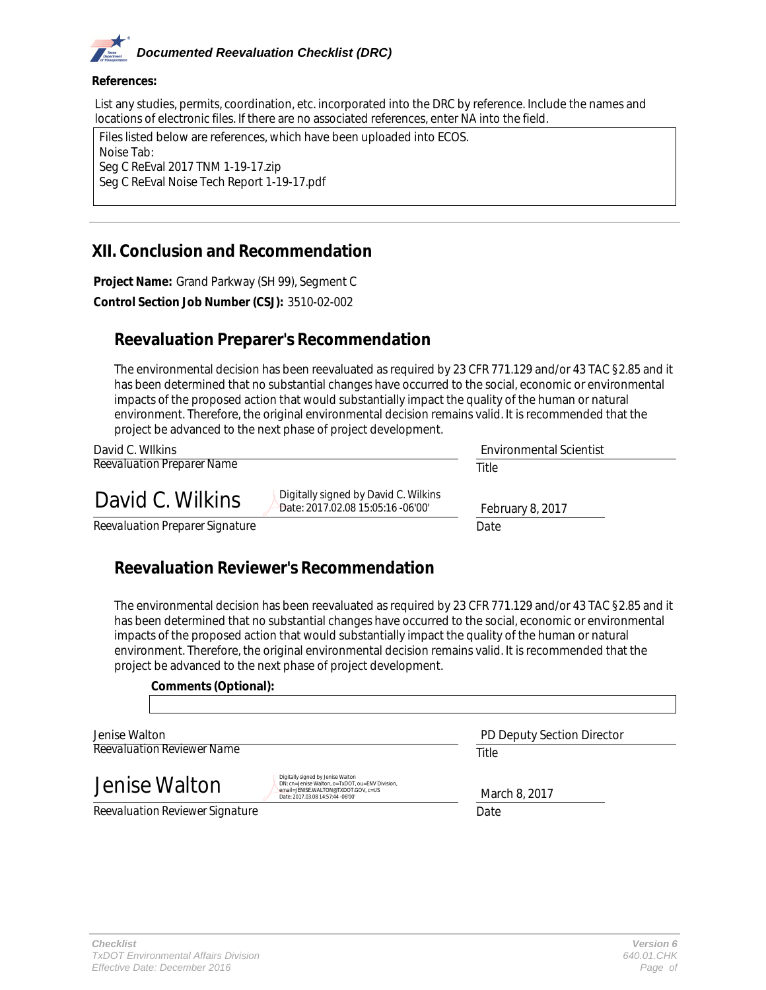# *Documented Reevaluation Checklist (DRC)*

#### **References:**

List any studies, permits, coordination, etc. incorporated into the DRC by reference. Include the names and locations of electronic files. If there are no associated references, enter NA into the field.

| Files listed below are references, which have been uploaded into ECOS. |  |  |  |
|------------------------------------------------------------------------|--|--|--|
| Noise Tab:                                                             |  |  |  |
| Seg C ReEval 2017 TNM 1-19-17.zip                                      |  |  |  |
| Seg C ReEval Noise Tech Report 1-19-17.pdf                             |  |  |  |
|                                                                        |  |  |  |

## **XII. Conclusion and Recommendation**

**Project Name:** Grand Parkway (SH 99), Segment C **Control Section Job Number (CSJ):** 3510-02-002

# **Reevaluation Preparer's Recommendation**

The environmental decision has been reevaluated as required by 23 CFR 771.129 and/or 43 TAC §2.85 and it has been determined that no substantial changes have occurred to the social, economic or environmental impacts of the proposed action that would substantially impact the quality of the human or natural environment. Therefore, the original environmental decision remains valid. It is recommended that the project be advanced to the next phase of project development.

| David C. Wilkins                                                                              | <b>Environmental Scientist</b> |
|-----------------------------------------------------------------------------------------------|--------------------------------|
| <b>Reevaluation Preparer Name</b>                                                             | Title                          |
| Digitally signed by David C. Wilkins<br>David C. Wilkins<br>Date: 2017.02.08 15:05:16 -06'00' | February 8, 2017               |
| Reevaluation Preparer Signature                                                               | Date                           |

# **Reevaluation Reviewer's Recommendation**

The environmental decision has been reevaluated as required by 23 CFR 771.129 and/or 43 TAC §2.85 and it has been determined that no substantial changes have occurred to the social, economic or environmental impacts of the proposed action that would substantially impact the quality of the human or natural environment. Therefore, the original environmental decision remains valid. It is recommended that the project be advanced to the next phase of project development.

#### **Comments (Optional):**

*Reevaluation Reviewer Name* Jenise Walton

Jenise Walton

DN: cn=Jenise Walton, o=TxDOT, ou=ENV Division, email=JENISE.WALTON@TXDOT.GOV, c=US Date: 2017.03.08 14:57:44 -06'00'

*Title* PD Deputy Section Director

March 8, 2017

*Reevaluation Reviewer Signature Date*